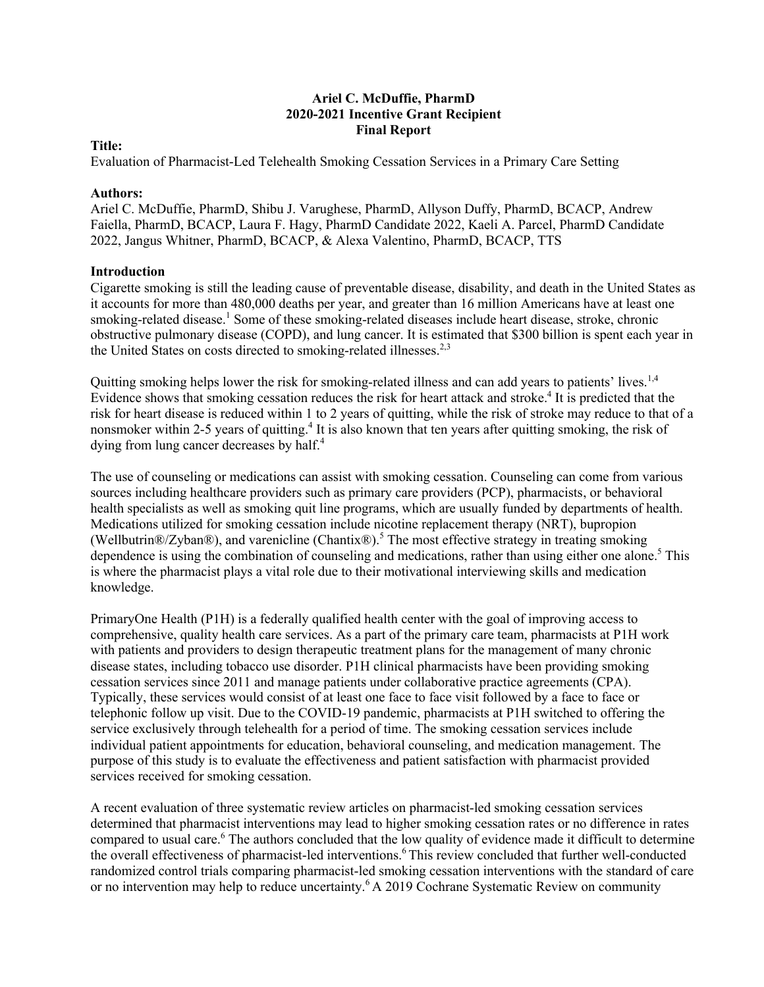## **Ariel C. McDuffie, PharmD 2020-2021 Incentive Grant Recipient Final Report**

## **Title:**

Evaluation of Pharmacist-Led Telehealth Smoking Cessation Services in a Primary Care Setting

## **Authors:**

Ariel C. McDuffie, PharmD, Shibu J. Varughese, PharmD, Allyson Duffy, PharmD, BCACP, Andrew Faiella, PharmD, BCACP, Laura F. Hagy, PharmD Candidate 2022, Kaeli A. Parcel, PharmD Candidate 2022, Jangus Whitner, PharmD, BCACP, & Alexa Valentino, PharmD, BCACP, TTS

## **Introduction**

Cigarette smoking is still the leading cause of preventable disease, disability, and death in the United States as it accounts for more than 480,000 deaths per year, and greater than 16 million Americans have at least one smoking-related disease.<sup>1</sup> Some of these smoking-related diseases include heart disease, stroke, chronic obstructive pulmonary disease (COPD), and lung cancer. It is estimated that \$300 billion is spent each year in the United States on costs directed to smoking-related illnesses.<sup>2,3</sup>

Quitting smoking helps lower the risk for smoking-related illness and can add years to patients' lives.<sup>1,4</sup> Evidence shows that smoking cessation reduces the risk for heart attack and stroke.<sup>4</sup> It is predicted that the risk for heart disease is reduced within 1 to 2 years of quitting, while the risk of stroke may reduce to that of a nonsmoker within 2-5 years of quitting.<sup>4</sup> It is also known that ten years after quitting smoking, the risk of dying from lung cancer decreases by half.<sup>4</sup>

The use of counseling or medications can assist with smoking cessation. Counseling can come from various sources including healthcare providers such as primary care providers (PCP), pharmacists, or behavioral health specialists as well as smoking quit line programs, which are usually funded by departments of health. Medications utilized for smoking cessation include nicotine replacement therapy (NRT), bupropion (Wellbutrin®/Zyban®), and varenicline (Chantix®).5 The most effective strategy in treating smoking dependence is using the combination of counseling and medications, rather than using either one alone.<sup>5</sup> This is where the pharmacist plays a vital role due to their motivational interviewing skills and medication knowledge.

PrimaryOne Health (P1H) is a federally qualified health center with the goal of improving access to comprehensive, quality health care services. As a part of the primary care team, pharmacists at P1H work with patients and providers to design therapeutic treatment plans for the management of many chronic disease states, including tobacco use disorder. P1H clinical pharmacists have been providing smoking cessation services since 2011 and manage patients under collaborative practice agreements (CPA). Typically, these services would consist of at least one face to face visit followed by a face to face or telephonic follow up visit. Due to the COVID-19 pandemic, pharmacists at P1H switched to offering the service exclusively through telehealth for a period of time. The smoking cessation services include individual patient appointments for education, behavioral counseling, and medication management. The purpose of this study is to evaluate the effectiveness and patient satisfaction with pharmacist provided services received for smoking cessation.

A recent evaluation of three systematic review articles on pharmacist-led smoking cessation services determined that pharmacist interventions may lead to higher smoking cessation rates or no difference in rates compared to usual care.<sup>6</sup> The authors concluded that the low quality of evidence made it difficult to determine the overall effectiveness of pharmacist-led interventions.<sup>6</sup> This review concluded that further well-conducted randomized control trials comparing pharmacist-led smoking cessation interventions with the standard of care or no intervention may help to reduce uncertainty.<sup>6</sup> A 2019 Cochrane Systematic Review on community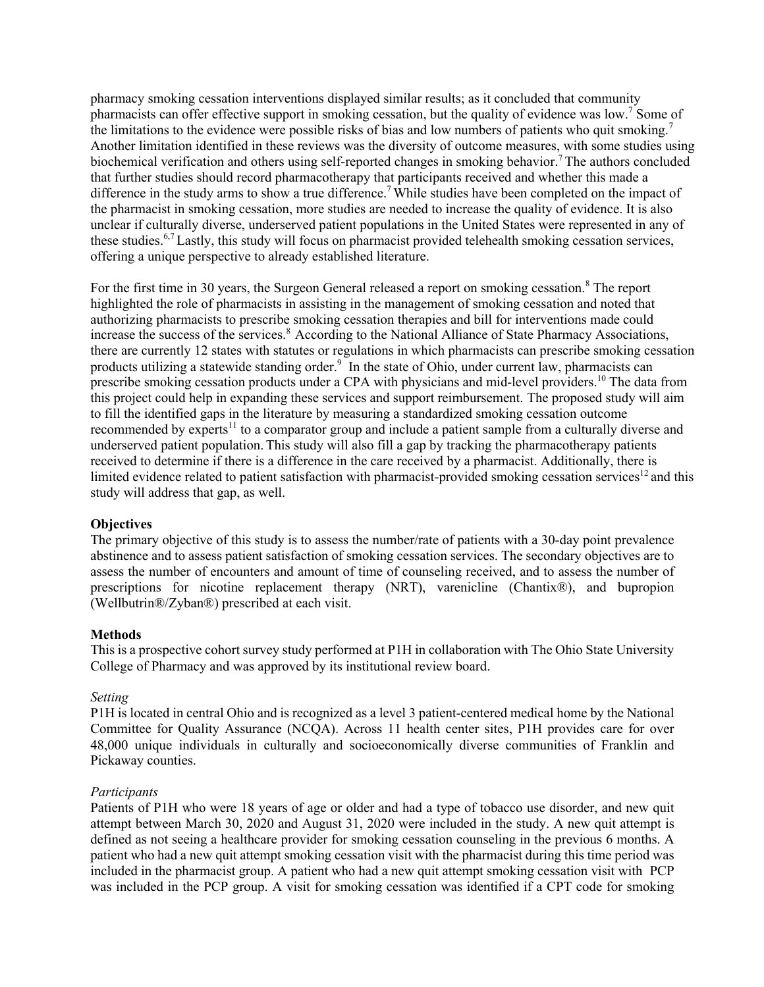pharmacy smoking cessation interventions displayed similar results; as it concluded that community pharmacists can offer effective support in smoking cessation, but the quality of evidence was low.<sup>7</sup> Some of the limitations to the evidence were possible risks of bias and low numbers of patients who quit smoking.<sup>7</sup> Another limitation identified in these reviews was the diversity of outcome measures, with some studies using biochemical verification and others using self-reported changes in smoking behavior.<sup>7</sup> The authors concluded that further studies should record pharmacotherapy that participants received and whether this made a difference in the study arms to show a true difference.<sup>7</sup> While studies have been completed on the impact of the pharmacist in smoking cessation, more studies are needed to increase the quality of evidence. It is also unclear if culturally diverse, underserved patient populations in the United States were represented in any of these studies.6,7 Lastly, this study will focus on pharmacist provided telehealth smoking cessation services, offering a unique perspective to already established literature.

For the first time in 30 years, the Surgeon General released a report on smoking cessation.<sup>8</sup> The report highlighted the role of pharmacists in assisting in the management of smoking cessation and noted that authorizing pharmacists to prescribe smoking cessation therapies and bill for interventions made could increase the success of the services.<sup>8</sup> According to the National Alliance of State Pharmacy Associations, there are currently 12 states with statutes or regulations in which pharmacists can prescribe smoking cessation products utilizing a statewide standing order.<sup>9</sup> In the state of Ohio, under current law, pharmacists can prescribe smoking cessation products under a CPA with physicians and mid-level providers.<sup>10</sup> The data from this project could help in expanding these services and support reimbursement. The proposed study will aim to fill the identified gaps in the literature by measuring a standardized smoking cessation outcome recommended by experts<sup>11</sup> to a comparator group and include a patient sample from a culturally diverse and underserved patient population. This study will also fill a gap by tracking the pharmacotherapy patients received to determine if there is a difference in the care received by a pharmacist. Additionally, there is limited evidence related to patient satisfaction with pharmacist-provided smoking cessation services $12$  and this study will address that gap, as well.

### **Objectives**

The primary objective of this study is to assess the number/rate of patients with a 30-day point prevalence abstinence and to assess patient satisfaction of smoking cessation services. The secondary objectives are to assess the number of encounters and amount of time of counseling received, and to assess the number of prescriptions for nicotine replacement therapy (NRT), varenicline (Chantix®), and bupropion (Wellbutrin®/Zyban®) prescribed at each visit.

### **Methods**

This is a prospective cohort survey study performed at P1H in collaboration with The Ohio State University College of Pharmacy and was approved by its institutional review board.

## *Setting*

P1H is located in central Ohio and is recognized as a level 3 patient-centered medical home by the National Committee for Quality Assurance (NCQA). Across 11 health center sites, P1H provides care for over 48,000 unique individuals in culturally and socioeconomically diverse communities of Franklin and Pickaway counties.

### *Participants*

Patients of P1H who were 18 years of age or older and had a type of tobacco use disorder, and new quit attempt between March 30, 2020 and August 31, 2020 were included in the study. A new quit attempt is defined as not seeing a healthcare provider for smoking cessation counseling in the previous 6 months. A patient who had a new quit attempt smoking cessation visit with the pharmacist during this time period was included in the pharmacist group. A patient who had a new quit attempt smoking cessation visit with PCP was included in the PCP group. A visit for smoking cessation was identified if a CPT code for smoking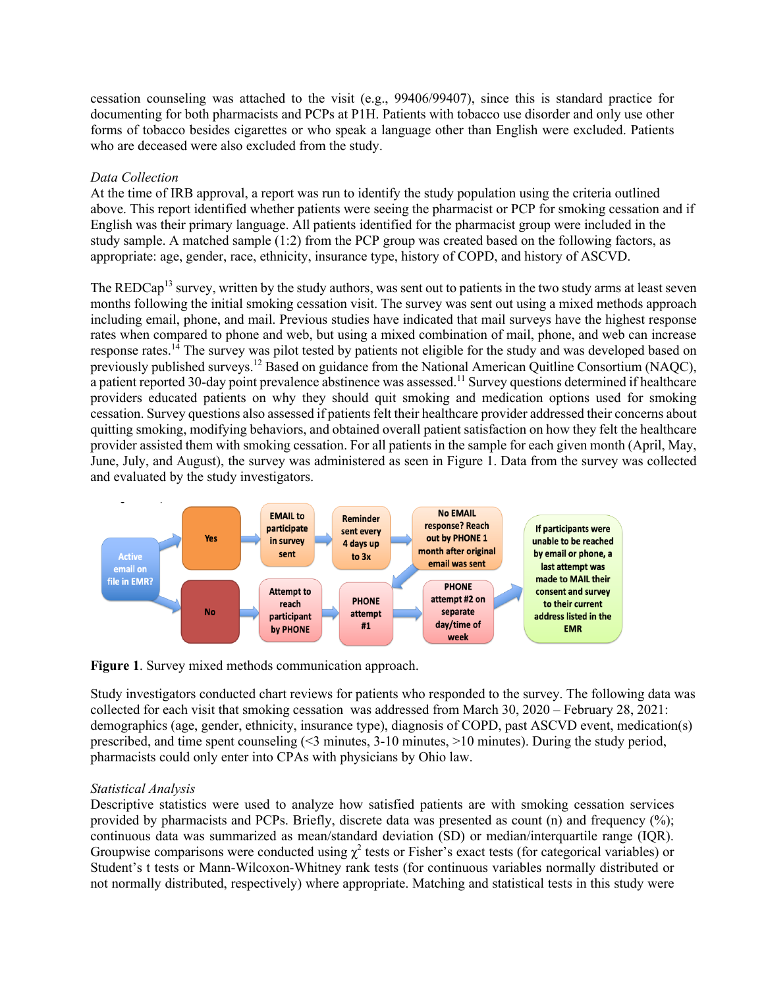cessation counseling was attached to the visit (e.g., 99406/99407), since this is standard practice for documenting for both pharmacists and PCPs at P1H. Patients with tobacco use disorder and only use other forms of tobacco besides cigarettes or who speak a language other than English were excluded. Patients who are deceased were also excluded from the study.

## *Data Collection*

At the time of IRB approval, a report was run to identify the study population using the criteria outlined above. This report identified whether patients were seeing the pharmacist or PCP for smoking cessation and if English was their primary language. All patients identified for the pharmacist group were included in the study sample. A matched sample (1:2) from the PCP group was created based on the following factors, as appropriate: age, gender, race, ethnicity, insurance type, history of COPD, and history of ASCVD.

The REDCap<sup>13</sup> survey, written by the study authors, was sent out to patients in the two study arms at least seven months following the initial smoking cessation visit. The survey was sent out using a mixed methods approach including email, phone, and mail. Previous studies have indicated that mail surveys have the highest response rates when compared to phone and web, but using a mixed combination of mail, phone, and web can increase response rates.<sup>14</sup> The survey was pilot tested by patients not eligible for the study and was developed based on previously published surveys.<sup>12</sup> Based on guidance from the National American Quitline Consortium (NAQC), a patient reported 30-day point prevalence abstinence was assessed.<sup>11</sup> Survey questions determined if healthcare providers educated patients on why they should quit smoking and medication options used for smoking cessation. Survey questions also assessed if patients felt their healthcare provider addressed their concerns about quitting smoking, modifying behaviors, and obtained overall patient satisfaction on how they felt the healthcare provider assisted them with smoking cessation. For all patients in the sample for each given month (April, May, June, July, and August), the survey was administered as seen in Figure 1. Data from the survey was collected and evaluated by the study investigators.



**Figure 1**. Survey mixed methods communication approach.

Study investigators conducted chart reviews for patients who responded to the survey. The following data was collected for each visit that smoking cessation was addressed from March 30, 2020 – February 28, 2021: demographics (age, gender, ethnicity, insurance type), diagnosis of COPD, past ASCVD event, medication(s) prescribed, and time spent counseling (<3 minutes, 3-10 minutes, >10 minutes). During the study period, pharmacists could only enter into CPAs with physicians by Ohio law.

# *Statistical Analysis*

Descriptive statistics were used to analyze how satisfied patients are with smoking cessation services provided by pharmacists and PCPs. Briefly, discrete data was presented as count (n) and frequency (%); continuous data was summarized as mean/standard deviation (SD) or median/interquartile range (IQR). Groupwise comparisons were conducted using  $\chi^2$  tests or Fisher's exact tests (for categorical variables) or Student's t tests or Mann-Wilcoxon-Whitney rank tests (for continuous variables normally distributed or not normally distributed, respectively) where appropriate. Matching and statistical tests in this study were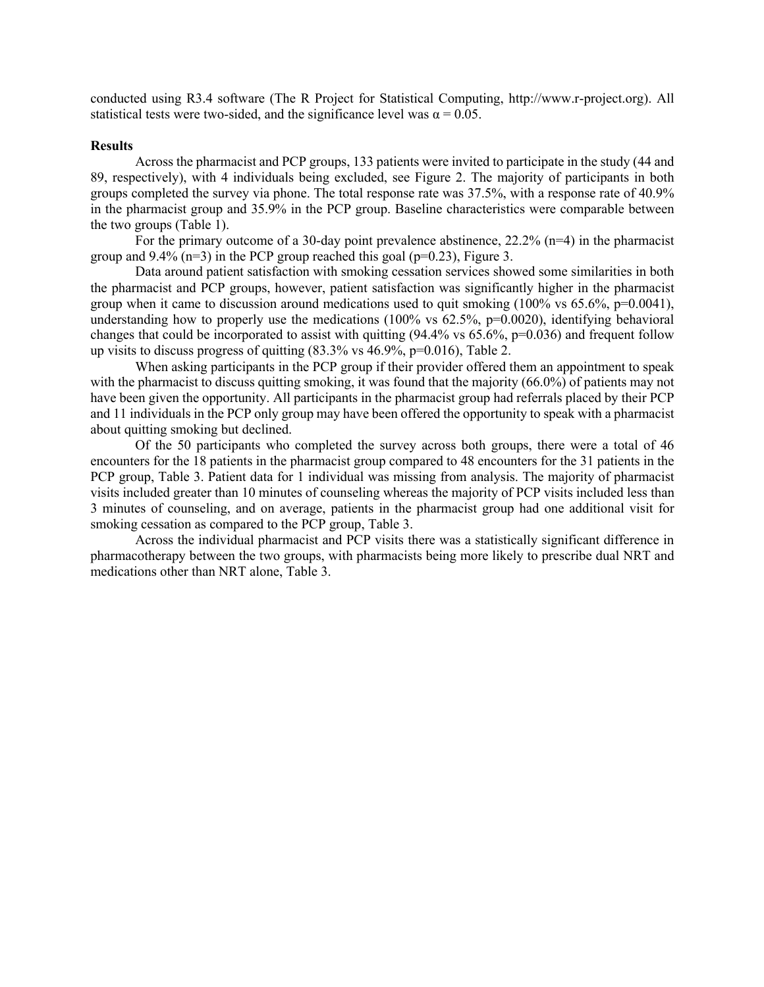conducted using R3.4 software (The R Project for Statistical Computing, http://www.r-project.org). All statistical tests were two-sided, and the significance level was  $\alpha = 0.05$ .

#### **Results**

Across the pharmacist and PCP groups, 133 patients were invited to participate in the study (44 and 89, respectively), with 4 individuals being excluded, see Figure 2. The majority of participants in both groups completed the survey via phone. The total response rate was 37.5%, with a response rate of 40.9% in the pharmacist group and 35.9% in the PCP group. Baseline characteristics were comparable between the two groups (Table 1).

For the primary outcome of a 30-day point prevalence abstinence, 22.2% (n=4) in the pharmacist group and  $9.4\%$  (n=3) in the PCP group reached this goal (p=0.23), Figure 3.

Data around patient satisfaction with smoking cessation services showed some similarities in both the pharmacist and PCP groups, however, patient satisfaction was significantly higher in the pharmacist group when it came to discussion around medications used to quit smoking  $(100\% \text{ vs } 65.6\%, \text{p=0.0041}),$ understanding how to properly use the medications  $(100\% \text{ vs } 62.5\%, \text{p=0.0020})$ , identifying behavioral changes that could be incorporated to assist with quitting  $(94.4\% \text{ vs } 65.6\%, \text{p=0.036})$  and frequent follow up visits to discuss progress of quitting  $(83.3\% \text{ vs } 46.9\%, \text{p=0.016})$ , Table 2.

When asking participants in the PCP group if their provider offered them an appointment to speak with the pharmacist to discuss quitting smoking, it was found that the majority (66.0%) of patients may not have been given the opportunity. All participants in the pharmacist group had referrals placed by their PCP and 11 individuals in the PCP only group may have been offered the opportunity to speak with a pharmacist about quitting smoking but declined.

Of the 50 participants who completed the survey across both groups, there were a total of 46 encounters for the 18 patients in the pharmacist group compared to 48 encounters for the 31 patients in the PCP group, Table 3. Patient data for 1 individual was missing from analysis. The majority of pharmacist visits included greater than 10 minutes of counseling whereas the majority of PCP visits included less than 3 minutes of counseling, and on average, patients in the pharmacist group had one additional visit for smoking cessation as compared to the PCP group, Table 3.

Across the individual pharmacist and PCP visits there was a statistically significant difference in pharmacotherapy between the two groups, with pharmacists being more likely to prescribe dual NRT and medications other than NRT alone, Table 3.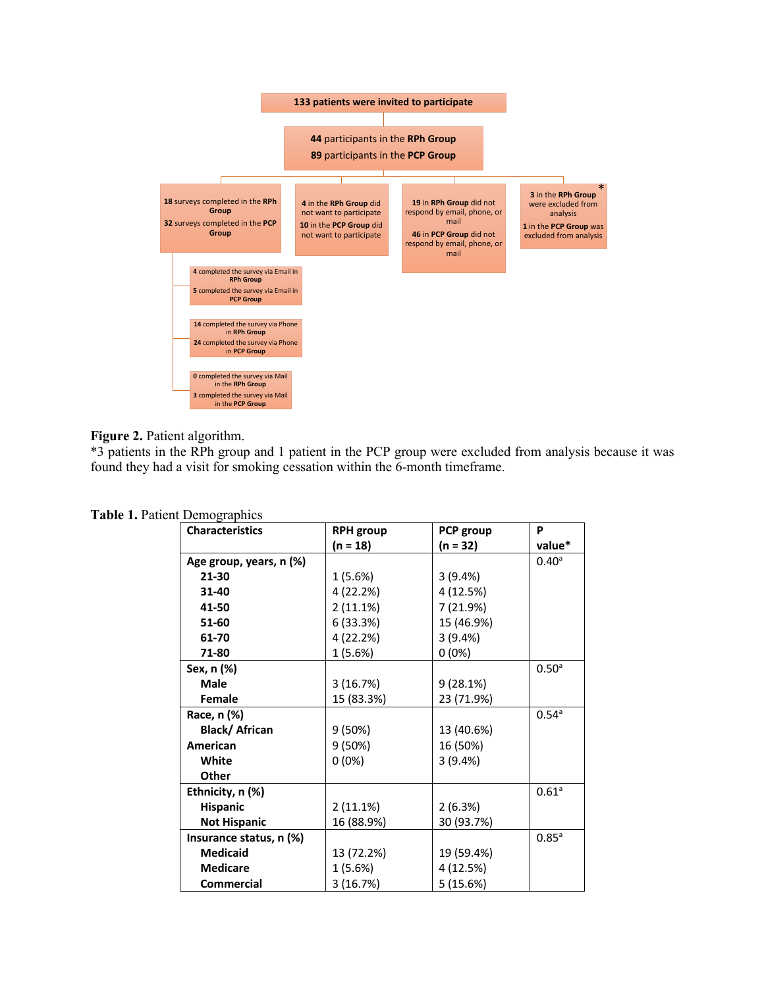

**Figure 2.** Patient algorithm.

\*3 patients in the RPh group and 1 patient in the PCP group were excluded from analysis because it was found they had a visit for smoking cessation within the 6-month timeframe.

| <b>Characteristics</b>  | <b>RPH</b> group | PCP group  | P                   |
|-------------------------|------------------|------------|---------------------|
|                         | (n = 18)         | (n = 32)   | value*              |
| Age group, years, n (%) |                  |            | $0.40^{\circ}$      |
| 21-30                   | 1 (5.6%)         | 3(9.4%)    |                     |
| 31-40                   | 4 (22.2%)        | 4 (12.5%)  |                     |
| 41-50                   | 2(11.1%)         | 7 (21.9%)  |                     |
| 51-60                   | 6(33.3%)         | 15 (46.9%) |                     |
| 61-70                   | 4 (22.2%)        | 3(9.4%)    |                     |
| 71-80                   | 1 (5.6%)         | $0(0\%)$   |                     |
| Sex, n (%)              |                  |            | 0.50 <sup>a</sup>   |
| <b>Male</b>             | 3(16.7%)         | 9(28.1%)   |                     |
| <b>Female</b>           | 15 (83.3%)       | 23 (71.9%) |                     |
| Race, n (%)             |                  |            | $0.54^{\circ}$      |
| Black/African           | 9 (50%)          | 13 (40.6%) |                     |
| <b>American</b>         | 9(50%)           | 16 (50%)   |                     |
| White                   | $0(0\%)$         | 3(9.4%)    |                     |
| <b>Other</b>            |                  |            |                     |
| Ethnicity, n (%)        |                  |            | $0.61$ <sup>a</sup> |
| <b>Hispanic</b>         | 2(11.1%)         | 2(6.3%)    |                     |
| <b>Not Hispanic</b>     | 16 (88.9%)       | 30 (93.7%) |                     |
| Insurance status, n (%) |                  |            | $0.85^{\circ}$      |
| <b>Medicaid</b>         | 13 (72.2%)       | 19 (59.4%) |                     |
| <b>Medicare</b>         | 1 (5.6%)         | 4 (12.5%)  |                     |
| <b>Commercial</b>       | 3 (16.7%)        | 5(15.6%)   |                     |

**Table 1.** Patient Demographics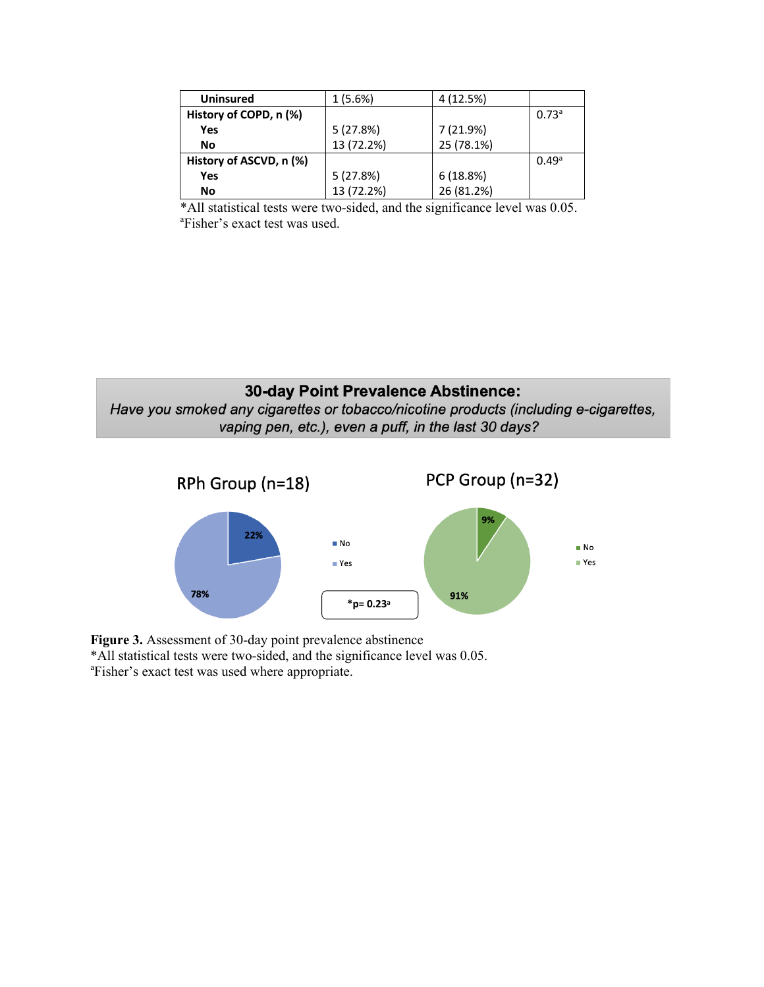| <b>Uninsured</b>        | 1 (5.6%)   | 4 (12.5%)  |                   |
|-------------------------|------------|------------|-------------------|
| History of COPD, n (%)  |            |            | 0.73 <sup>a</sup> |
| <b>Yes</b>              | 5(27.8%)   | 7 (21.9%)  |                   |
| No                      | 13 (72.2%) | 25 (78.1%) |                   |
| History of ASCVD, n (%) |            |            | 0.49a             |
| Yes                     | 5(27.8%)   | 6(18.8%)   |                   |
| No                      | 13 (72.2%) | 26 (81.2%) |                   |

\*All statistical tests were two-sided, and the significance level was 0.05. a Fisher's exact test was used.





**Figure 3.** Assessment of 30-day point prevalence abstinence \*All statistical tests were two-sided, and the significance level was 0.05. a Fisher's exact test was used where appropriate.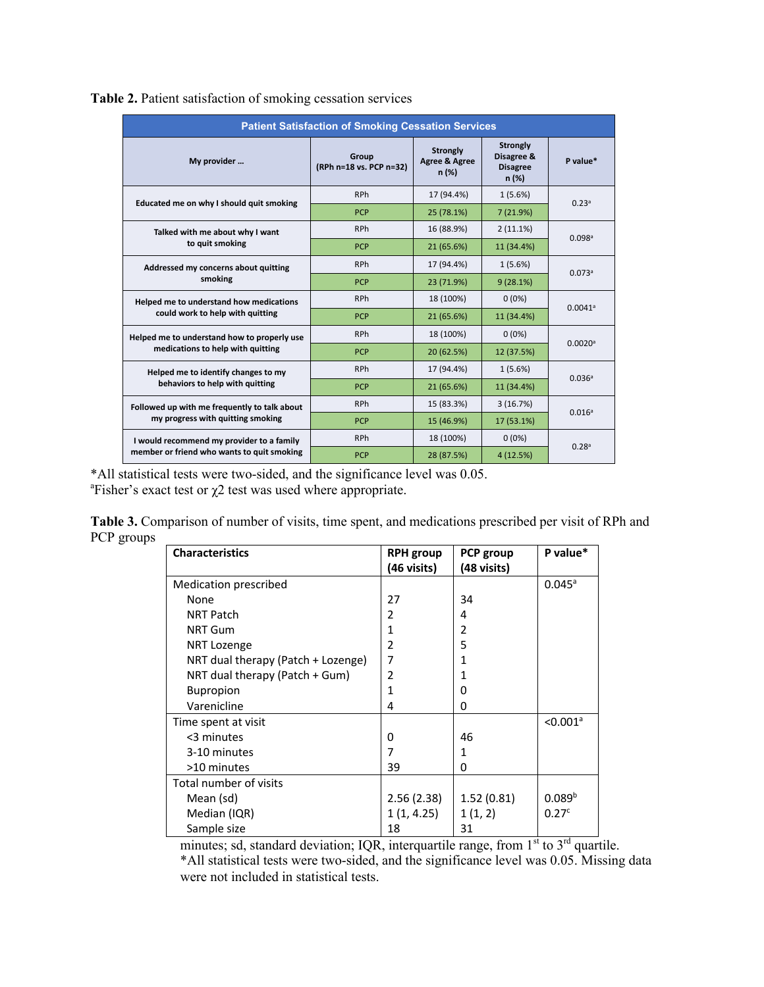| <b>Patient Satisfaction of Smoking Cessation Services</b>                               |                                  |                                           |                                                   |                       |  |
|-----------------------------------------------------------------------------------------|----------------------------------|-------------------------------------------|---------------------------------------------------|-----------------------|--|
| My provider                                                                             | Group<br>(RPh n=18 vs. PCP n=32) | <b>Strongly</b><br>Agree & Agree<br>n (%) | Strongly<br>Disagree &<br><b>Disagree</b><br>n(%) | P value*              |  |
| Educated me on why I should quit smoking                                                | <b>RPh</b>                       | 17 (94.4%)                                | 1(5.6%)                                           | 0.23a                 |  |
|                                                                                         | <b>PCP</b>                       | 25 (78.1%)                                | 7 (21.9%)                                         |                       |  |
| Talked with me about why I want<br>to quit smoking                                      | <b>RPh</b>                       | 16 (88.9%)                                | $2(11.1\%)$                                       | 0.098a                |  |
|                                                                                         | <b>PCP</b>                       | 21 (65.6%)                                | 11 (34.4%)                                        |                       |  |
| Addressed my concerns about quitting                                                    | <b>RPh</b>                       | 17 (94.4%)                                | 1(5.6%)                                           | 0.073a                |  |
| smoking                                                                                 | <b>PCP</b>                       | 23 (71.9%)                                | 9(28.1%)                                          |                       |  |
| Helped me to understand how medications<br>could work to help with quitting             | <b>RPh</b>                       | 18 (100%)                                 | $0(0\%)$                                          | $0.0041$ <sup>a</sup> |  |
|                                                                                         | <b>PCP</b>                       | 21 (65.6%)                                | 11 (34.4%)                                        |                       |  |
| Helped me to understand how to properly use<br>medications to help with quitting        | <b>RPh</b>                       | 18 (100%)                                 | $0(0\%)$                                          |                       |  |
|                                                                                         | <b>PCP</b>                       | 20 (62.5%)                                | 12 (37.5%)                                        | $0.0020$ <sup>a</sup> |  |
| Helped me to identify changes to my<br>behaviors to help with quitting                  | <b>RPh</b>                       | 17 (94.4%)                                | 1(5.6%)                                           |                       |  |
|                                                                                         | <b>PCP</b>                       | 21 (65.6%)                                | 11 (34.4%)                                        | 0.036a                |  |
| Followed up with me frequently to talk about<br>my progress with quitting smoking       | <b>RPh</b>                       | 15 (83.3%)                                | 3(16.7%)                                          |                       |  |
|                                                                                         | <b>PCP</b>                       | 15 (46.9%)                                | 17 (53.1%)                                        | 0.016 <sup>a</sup>    |  |
| I would recommend my provider to a family<br>member or friend who wants to quit smoking | <b>RPh</b>                       | 18 (100%)                                 | $0(0\%)$                                          | 0.28 <sup>a</sup>     |  |
|                                                                                         | <b>PCP</b>                       | 28 (87.5%)                                | 4 (12.5%)                                         |                       |  |

**Table 2.** Patient satisfaction of smoking cessation services

\*All statistical tests were two-sided, and the significance level was 0.05. <sup>a</sup>Fisher's exact test or  $χ$ 2 test was used where appropriate.

**Table 3.** Comparison of number of visits, time spent, and medications prescribed per visit of RPh and PCP groups

| <b>Characteristics</b>             | <b>RPH</b> group | PCP group   | P value*               |
|------------------------------------|------------------|-------------|------------------------|
|                                    | (46 visits)      | (48 visits) |                        |
| <b>Medication prescribed</b>       |                  |             | $0.045^a$              |
| None                               | 27               | 34          |                        |
| <b>NRT Patch</b>                   | 2                | 4           |                        |
| <b>NRT Gum</b>                     | 1                | 2           |                        |
| NRT Lozenge                        | $\overline{2}$   | 5           |                        |
| NRT dual therapy (Patch + Lozenge) | 7                | 1           |                        |
| NRT dual therapy (Patch + Gum)     | $\overline{2}$   |             |                        |
| <b>Bupropion</b>                   | 1                | 0           |                        |
| Varenicline                        | 4                | 0           |                        |
| Time spent at visit                |                  |             | $< 0.001$ <sup>a</sup> |
| <3 minutes                         | 0                | 46          |                        |
| 3-10 minutes                       | 7                | 1           |                        |
| >10 minutes                        | 39               | 0           |                        |
| Total number of visits             |                  |             |                        |
| Mean (sd)                          | 2.56(2.38)       | 1.52(0.81)  | 0.089 <sup>b</sup>     |
| Median (IQR)                       | 1(1, 4.25)       | 1(1, 2)     | 0.27 <sup>c</sup>      |
| Sample size                        | 18               | 31          |                        |

minutes; sd, standard deviation; IQR, interquartile range, from  $1<sup>st</sup>$  to  $3<sup>rd</sup>$  quartile. \*All statistical tests were two-sided, and the significance level was 0.05. Missing data were not included in statistical tests.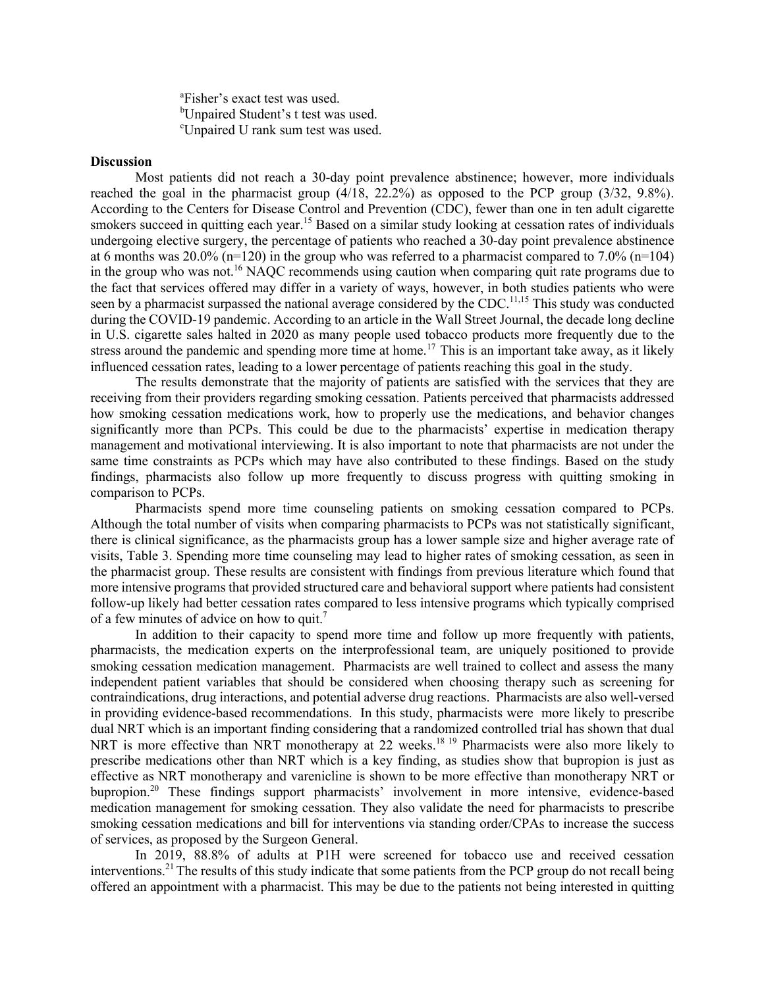a Fisher's exact test was used. <sup>b</sup>Unpaired Student's t test was used. c Unpaired U rank sum test was used.

#### **Discussion**

Most patients did not reach a 30-day point prevalence abstinence; however, more individuals reached the goal in the pharmacist group  $(4/18, 22.2\%)$  as opposed to the PCP group  $(3/32, 9.8\%)$ . According to the Centers for Disease Control and Prevention (CDC), fewer than one in ten adult cigarette smokers succeed in quitting each year.<sup>15</sup> Based on a similar study looking at cessation rates of individuals undergoing elective surgery, the percentage of patients who reached a 30-day point prevalence abstinence at 6 months was  $20.0\%$  (n=120) in the group who was referred to a pharmacist compared to 7.0% (n=104) in the group who was not.<sup>16</sup> NAQC recommends using caution when comparing quit rate programs due to the fact that services offered may differ in a variety of ways, however, in both studies patients who were seen by a pharmacist surpassed the national average considered by the CDC.<sup>11,15</sup> This study was conducted during the COVID-19 pandemic. According to an article in the Wall Street Journal, the decade long decline in U.S. cigarette sales halted in 2020 as many people used tobacco products more frequently due to the stress around the pandemic and spending more time at home.<sup>17</sup> This is an important take away, as it likely influenced cessation rates, leading to a lower percentage of patients reaching this goal in the study.

The results demonstrate that the majority of patients are satisfied with the services that they are receiving from their providers regarding smoking cessation. Patients perceived that pharmacists addressed how smoking cessation medications work, how to properly use the medications, and behavior changes significantly more than PCPs. This could be due to the pharmacists' expertise in medication therapy management and motivational interviewing. It is also important to note that pharmacists are not under the same time constraints as PCPs which may have also contributed to these findings. Based on the study findings, pharmacists also follow up more frequently to discuss progress with quitting smoking in comparison to PCPs.

Pharmacists spend more time counseling patients on smoking cessation compared to PCPs. Although the total number of visits when comparing pharmacists to PCPs was not statistically significant, there is clinical significance, as the pharmacists group has a lower sample size and higher average rate of visits, Table 3. Spending more time counseling may lead to higher rates of smoking cessation, as seen in the pharmacist group. These results are consistent with findings from previous literature which found that more intensive programs that provided structured care and behavioral support where patients had consistent follow-up likely had better cessation rates compared to less intensive programs which typically comprised of a few minutes of advice on how to quit.<sup>7</sup>

In addition to their capacity to spend more time and follow up more frequently with patients, pharmacists, the medication experts on the interprofessional team, are uniquely positioned to provide smoking cessation medication management. Pharmacists are well trained to collect and assess the many independent patient variables that should be considered when choosing therapy such as screening for contraindications, drug interactions, and potential adverse drug reactions. Pharmacists are also well-versed in providing evidence-based recommendations. In this study, pharmacists were more likely to prescribe dual NRT which is an important finding considering that a randomized controlled trial has shown that dual NRT is more effective than NRT monotherapy at 22 weeks.<sup>18 19</sup> Pharmacists were also more likely to prescribe medications other than NRT which is a key finding, as studies show that bupropion is just as effective as NRT monotherapy and varenicline is shown to be more effective than monotherapy NRT or bupropion.<sup>20</sup> These findings support pharmacists' involvement in more intensive, evidence-based medication management for smoking cessation. They also validate the need for pharmacists to prescribe smoking cessation medications and bill for interventions via standing order/CPAs to increase the success of services, as proposed by the Surgeon General.

In 2019, 88.8% of adults at P1H were screened for tobacco use and received cessation interventions.21The results of this study indicate that some patients from the PCP group do not recall being offered an appointment with a pharmacist. This may be due to the patients not being interested in quitting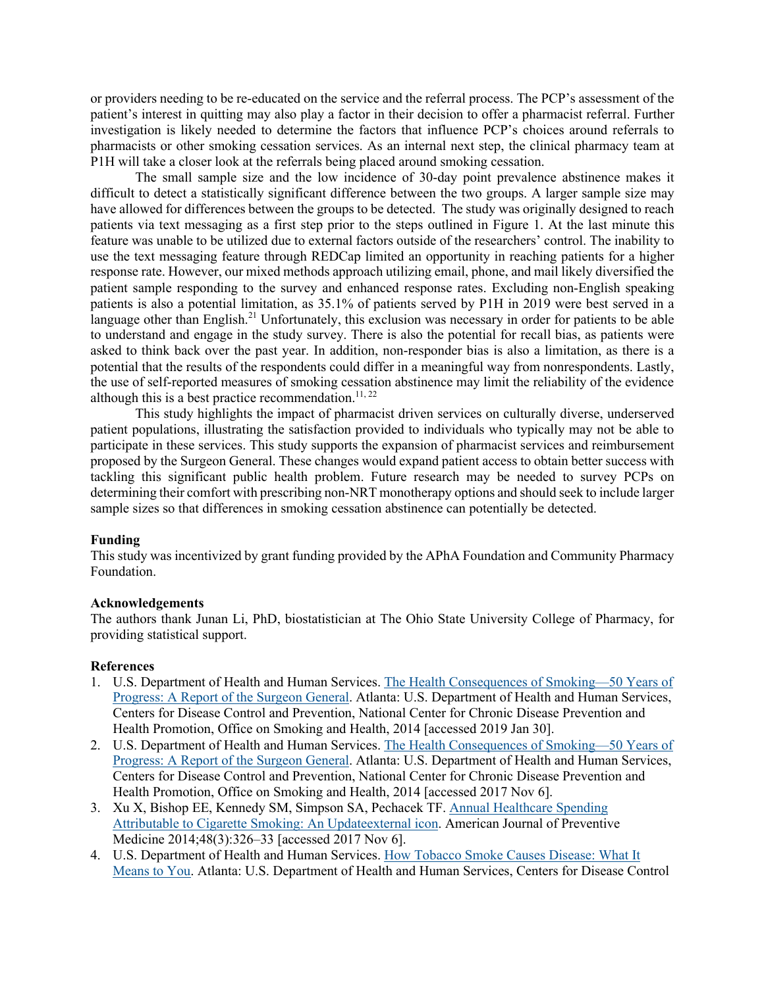or providers needing to be re-educated on the service and the referral process. The PCP's assessment of the patient's interest in quitting may also play a factor in their decision to offer a pharmacist referral. Further investigation is likely needed to determine the factors that influence PCP's choices around referrals to pharmacists or other smoking cessation services. As an internal next step, the clinical pharmacy team at P1H will take a closer look at the referrals being placed around smoking cessation.

The small sample size and the low incidence of 30-day point prevalence abstinence makes it difficult to detect a statistically significant difference between the two groups. A larger sample size may have allowed for differences between the groups to be detected. The study was originally designed to reach patients via text messaging as a first step prior to the steps outlined in Figure 1. At the last minute this feature was unable to be utilized due to external factors outside of the researchers' control. The inability to use the text messaging feature through REDCap limited an opportunity in reaching patients for a higher response rate. However, our mixed methods approach utilizing email, phone, and mail likely diversified the patient sample responding to the survey and enhanced response rates. Excluding non-English speaking patients is also a potential limitation, as 35.1% of patients served by P1H in 2019 were best served in a language other than English.<sup>21</sup> Unfortunately, this exclusion was necessary in order for patients to be able to understand and engage in the study survey. There is also the potential for recall bias, as patients were asked to think back over the past year. In addition, non-responder bias is also a limitation, as there is a potential that the results of the respondents could differ in a meaningful way from nonrespondents. Lastly, the use of self-reported measures of smoking cessation abstinence may limit the reliability of the evidence although this is a best practice recommendation.<sup>11, 22</sup>

This study highlights the impact of pharmacist driven services on culturally diverse, underserved patient populations, illustrating the satisfaction provided to individuals who typically may not be able to participate in these services. This study supports the expansion of pharmacist services and reimbursement proposed by the Surgeon General. These changes would expand patient access to obtain better success with tackling this significant public health problem. Future research may be needed to survey PCPs on determining their comfort with prescribing non-NRT monotherapy options and should seek to include larger sample sizes so that differences in smoking cessation abstinence can potentially be detected.

### **Funding**

This study was incentivized by grant funding provided by the APhA Foundation and Community Pharmacy Foundation.

### **Acknowledgements**

The authors thank Junan Li, PhD, biostatistician at The Ohio State University College of Pharmacy, for providing statistical support.

### **References**

- 1. U.S. Department of Health and Human Services. The Health Consequences of Smoking—50 Years of Progress: A Report of the Surgeon General. Atlanta: U.S. Department of Health and Human Services, Centers for Disease Control and Prevention, National Center for Chronic Disease Prevention and Health Promotion, Office on Smoking and Health, 2014 [accessed 2019 Jan 30].
- 2. U.S. Department of Health and Human Services. The Health Consequences of Smoking—50 Years of Progress: A Report of the Surgeon General. Atlanta: U.S. Department of Health and Human Services, Centers for Disease Control and Prevention, National Center for Chronic Disease Prevention and Health Promotion, Office on Smoking and Health, 2014 [accessed 2017 Nov 6].
- 3. Xu X, Bishop EE, Kennedy SM, Simpson SA, Pechacek TF. Annual Healthcare Spending Attributable to Cigarette Smoking: An Updateexternal icon. American Journal of Preventive Medicine 2014;48(3):326–33 [accessed 2017 Nov 6].
- 4. U.S. Department of Health and Human Services. How Tobacco Smoke Causes Disease: What It Means to You. Atlanta: U.S. Department of Health and Human Services, Centers for Disease Control